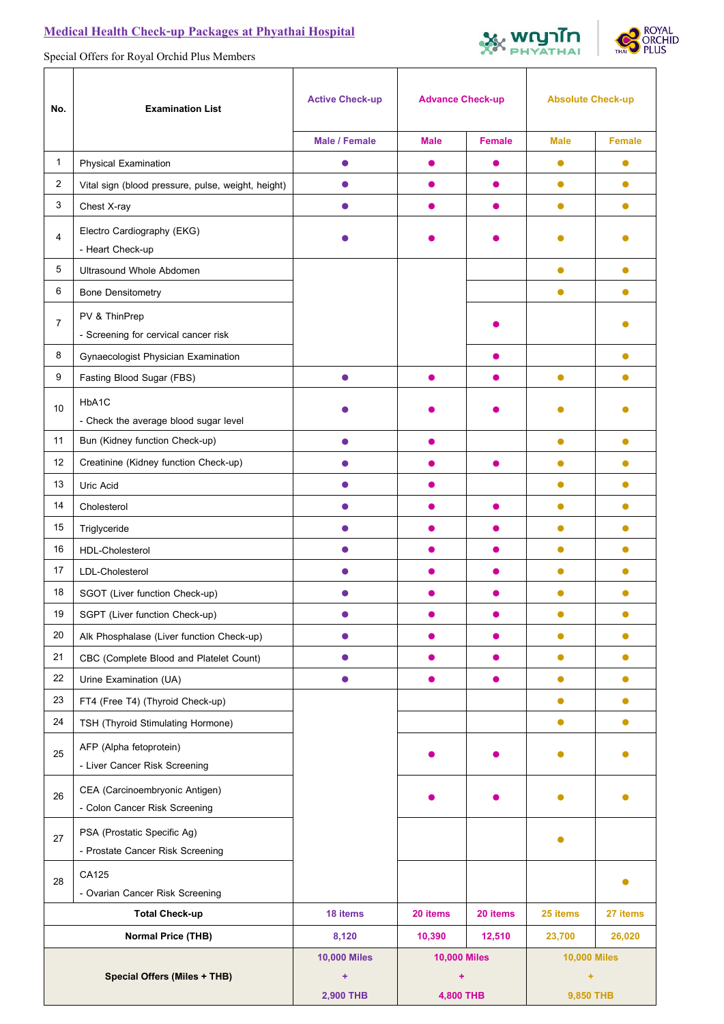## **Medical Health Check-up Packages at Phyathai Hospital**





Special Offers for Royal Orchid Plus Members

| No.                                 | <b>Examination List</b>                                         | <b>Active Check-up</b> | <b>Advance Check-up</b> |               | <b>Absolute Check-up</b> |           |
|-------------------------------------|-----------------------------------------------------------------|------------------------|-------------------------|---------------|--------------------------|-----------|
|                                     |                                                                 | <b>Male / Female</b>   | <b>Male</b>             | <b>Female</b> | <b>Male</b>              | Female    |
| $\mathbf{1}$                        | <b>Physical Examination</b>                                     | $\bullet$              | $\bullet$               | 0             | $\bullet$                | $\bullet$ |
| $\overline{2}$                      | Vital sign (blood pressure, pulse, weight, height)              | $\bullet$              | $\bullet$               | $\bullet$     | $\bullet$                | $\bullet$ |
| 3                                   | Chest X-ray                                                     | $\bullet$              | $\bullet$               | $\bullet$     | $\bullet$                | $\bullet$ |
| 4                                   | Electro Cardiography (EKG)<br>- Heart Check-up                  |                        |                         |               |                          |           |
| 5                                   | Ultrasound Whole Abdomen                                        |                        |                         |               | $\bullet$                | $\bullet$ |
| 6                                   | <b>Bone Densitometry</b>                                        |                        |                         |               | $\bullet$                | $\bullet$ |
| $\overline{7}$                      | PV & ThinPrep<br>- Screening for cervical cancer risk           |                        |                         |               |                          |           |
| 8                                   | Gynaecologist Physician Examination                             |                        |                         |               |                          |           |
| 9                                   | Fasting Blood Sugar (FBS)                                       | ●                      | ●                       |               | $\bullet$                | 0         |
| 10                                  | HbA1C<br>- Check the average blood sugar level                  |                        |                         |               |                          |           |
| 11                                  | Bun (Kidney function Check-up)                                  |                        |                         |               | $\bullet$                | $\bullet$ |
| 12                                  | Creatinine (Kidney function Check-up)                           | 0                      | $\bullet$               | $\bullet$     | $\bullet$                | $\bullet$ |
| 13                                  | Uric Acid                                                       | $\bullet$              | $\bullet$               |               | $\bullet$                | $\bullet$ |
| 14                                  | Cholesterol                                                     | $\bullet$              | $\bullet$               | $\bullet$     | $\bullet$                | $\bullet$ |
| 15                                  | Triglyceride                                                    | $\bullet$              | $\bullet$               | $\bullet$     | $\bullet$                | $\bullet$ |
| 16                                  | HDL-Cholesterol                                                 | 0                      | $\bullet$               | $\bullet$     | $\bullet$                | $\bullet$ |
| 17                                  | LDL-Cholesterol                                                 | 0                      | O                       | 0             | $\bullet$                | $\bullet$ |
| 18                                  | SGOT (Liver function Check-up)                                  |                        |                         | o             | ●                        | $\bullet$ |
| $19$                                | SGPT (Liver function Check-up)                                  |                        |                         |               |                          |           |
| 20                                  | Alk Phosphalase (Liver function Check-up)                       | $\bullet$              | $\bullet$               | $\bullet$     | $\bullet$                | $\bullet$ |
| 21                                  | CBC (Complete Blood and Platelet Count)                         | $\bullet$              | $\bullet$               | $\bullet$     | $\bullet$                | $\bullet$ |
| 22                                  | Urine Examination (UA)                                          | $\bullet$              | $\bullet$               | $\bullet$     | $\bullet$                | $\bullet$ |
| 23                                  | FT4 (Free T4) (Thyroid Check-up)                                |                        |                         |               | $\bullet$                | $\bullet$ |
| 24                                  | TSH (Thyroid Stimulating Hormone)                               |                        |                         |               | $\bullet$                | $\bullet$ |
| 25                                  | AFP (Alpha fetoprotein)<br>- Liver Cancer Risk Screening        |                        |                         |               |                          |           |
| 26                                  | CEA (Carcinoembryonic Antigen)<br>- Colon Cancer Risk Screening |                        |                         |               |                          |           |
| 27                                  | PSA (Prostatic Specific Ag)<br>- Prostate Cancer Risk Screening |                        |                         |               |                          |           |
|                                     | CA125                                                           |                        |                         |               |                          |           |
| 28                                  | - Ovarian Cancer Risk Screening                                 |                        |                         |               |                          |           |
| <b>Total Check-up</b>               |                                                                 | 18 items               | 20 items                | 20 items      | 25 items                 | 27 items  |
| <b>Normal Price (THB)</b>           |                                                                 | 8,120                  | 10,390                  | 12,510        | 23,700                   | 26,020    |
|                                     |                                                                 | <b>10,000 Miles</b>    | <b>10,000 Miles</b>     |               | <b>10,000 Miles</b>      |           |
| <b>Special Offers (Miles + THB)</b> |                                                                 | $\ddot{}$              | ÷                       |               | ÷                        |           |
|                                     |                                                                 | 2,900 THB              | 4,800 THB               |               | 9,850 THB                |           |